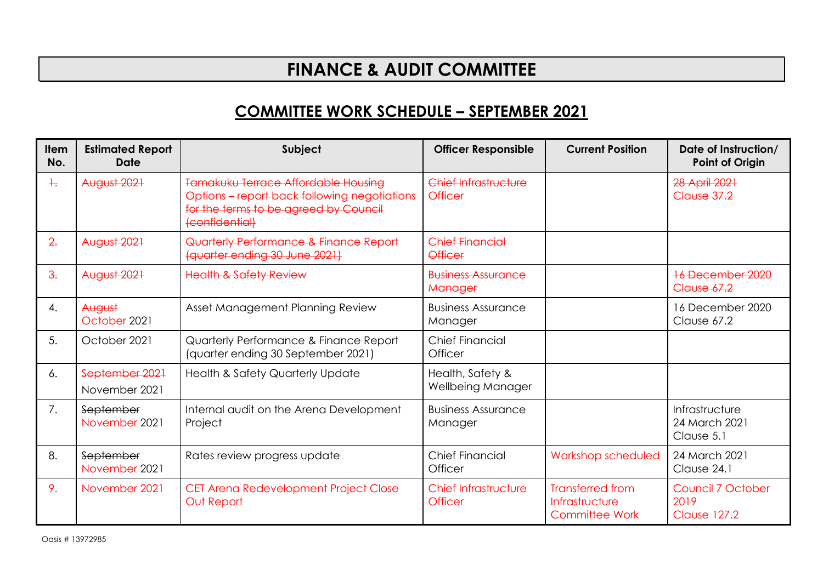## **FINANCE & AUDIT COMMITTEE**

## **COMMITTEE WORK SCHEDULE – SEPTEMBER 2021**

| <b>Item</b><br>No. | <b>Estimated Report</b><br>Date | Subject                                                                                                                                        | <b>Officer Responsible</b>             | <b>Current Position</b>                                            | Date of Instruction/<br><b>Point of Origin</b>   |
|--------------------|---------------------------------|------------------------------------------------------------------------------------------------------------------------------------------------|----------------------------------------|--------------------------------------------------------------------|--------------------------------------------------|
| $+$                | August 2021                     | Tamakuku Terrace Affordable Housina<br>Options - report back following negotiations<br>for the terms to be agreed by Council<br>(confidential) | Chief Infrastructure<br><b>Officer</b> |                                                                    | 28 April 2021<br><b>Clause 37.2</b>              |
| 2.                 | <b>August 2021</b>              | Quarterly Performance & Finance Report<br>(quarter ending 30 June 2021)                                                                        | Chief Financial<br><b>Officer</b>      |                                                                    |                                                  |
| $\frac{3}{2}$      | <b>August 2021</b>              | <b>Health &amp; Safety Review</b>                                                                                                              | <b>Business Assurance</b><br>Manager   |                                                                    | 16 December 2020<br><b>Clause 67.2</b>           |
| 4.                 | August<br>October 2021          | Asset Management Planning Review                                                                                                               | <b>Business Assurance</b><br>Manager   |                                                                    | 16 December 2020<br>Clause 67.2                  |
| 5.                 | October 2021                    | Quarterly Performance & Finance Report<br>(quarter ending 30 September 2021)                                                                   | <b>Chief Financial</b><br>Officer      |                                                                    |                                                  |
| 6.                 | September 2021<br>November 2021 | Health & Safety Quarterly Update                                                                                                               | Health, Safety &<br>Wellbeing Manager  |                                                                    |                                                  |
| 7.                 | September<br>November 2021      | Internal audit on the Arena Development<br>Project                                                                                             | <b>Business Assurance</b><br>Manager   |                                                                    | Infrastructure<br>24 March 2021<br>Clause 5.1    |
| 8.                 | September<br>November 2021      | Rates review progress update                                                                                                                   | <b>Chief Financial</b><br>Officer      | Workshop scheduled                                                 | 24 March 2021<br>Clause 24.1                     |
| 9.                 | November 2021                   | CET Arena Redevelopment Project Close<br><b>Out Report</b>                                                                                     | Chief Infrastructure<br><b>Officer</b> | <b>Transferred from</b><br>Infrastructure<br><b>Committee Work</b> | Council 7 October<br>2019<br><b>Clause 127.2</b> |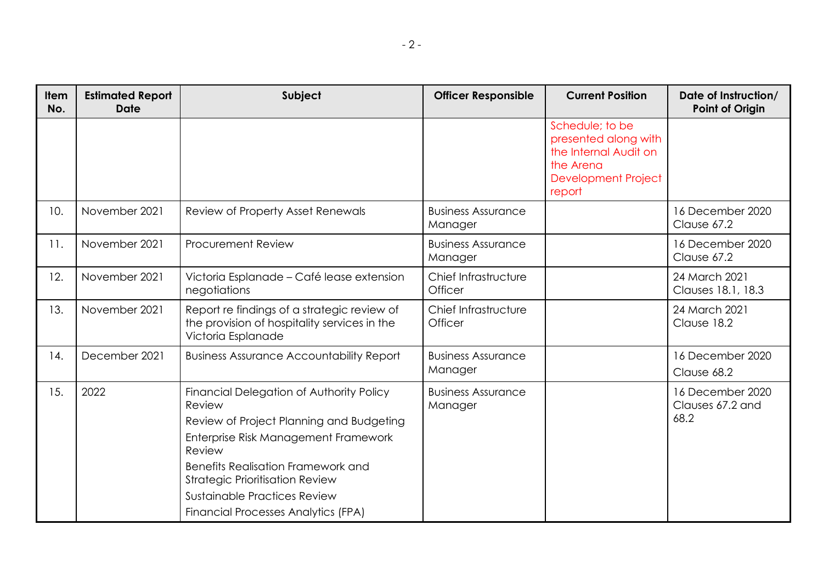| __<br>__<br>. . |  |
|-----------------|--|
|-----------------|--|

| <b>Item</b><br>No. | <b>Estimated Report</b><br><b>Date</b> | Subject                                                                                                                                                                                                                                                                                                               | <b>Officer Responsible</b>           | <b>Current Position</b>                                                                                               | Date of Instruction/<br><b>Point of Origin</b> |
|--------------------|----------------------------------------|-----------------------------------------------------------------------------------------------------------------------------------------------------------------------------------------------------------------------------------------------------------------------------------------------------------------------|--------------------------------------|-----------------------------------------------------------------------------------------------------------------------|------------------------------------------------|
|                    |                                        |                                                                                                                                                                                                                                                                                                                       |                                      | Schedule; to be<br>presented along with<br>the Internal Audit on<br>the Arena<br><b>Development Project</b><br>report |                                                |
| 10.                | November 2021                          | Review of Property Asset Renewals                                                                                                                                                                                                                                                                                     | <b>Business Assurance</b><br>Manager |                                                                                                                       | 16 December 2020<br>Clause 67.2                |
| 11.                | November 2021                          | <b>Procurement Review</b>                                                                                                                                                                                                                                                                                             | <b>Business Assurance</b><br>Manager |                                                                                                                       | 16 December 2020<br>Clause 67.2                |
| 12.                | November 2021                          | Victoria Esplanade - Café lease extension<br>negotiations                                                                                                                                                                                                                                                             | Chief Infrastructure<br>Officer      |                                                                                                                       | 24 March 2021<br>Clauses 18.1, 18.3            |
| 13.                | November 2021                          | Report re findings of a strategic review of<br>the provision of hospitality services in the<br>Victoria Esplanade                                                                                                                                                                                                     | Chief Infrastructure<br>Officer      |                                                                                                                       | 24 March 2021<br>Clause 18.2                   |
| 14.                | December 2021                          | <b>Business Assurance Accountability Report</b>                                                                                                                                                                                                                                                                       | <b>Business Assurance</b><br>Manager |                                                                                                                       | 16 December 2020<br>Clause 68.2                |
| 15.                | 2022                                   | Financial Delegation of Authority Policy<br>Review<br>Review of Project Planning and Budgeting<br>Enterprise Risk Management Framework<br>Review<br><b>Benefits Realisation Framework and</b><br><b>Strategic Prioritisation Review</b><br>Sustainable Practices Review<br><b>Financial Processes Analytics (FPA)</b> | <b>Business Assurance</b><br>Manager |                                                                                                                       | 16 December 2020<br>Clauses 67.2 and<br>68.2   |